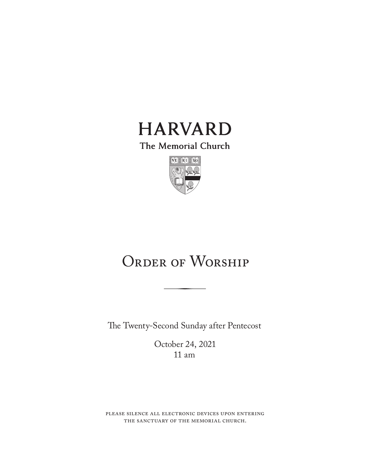

The Memorial Church



# ORDER OF WORSHIP

The Twenty-Second Sunday after Pentecost

October 24, 2021 11 am

please silence all electronic devices upon entering the sanctuary of the memorial church.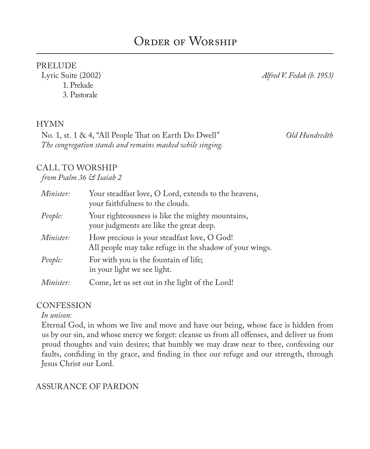PRELUDE<br>Lyric Suite (2002) 1. Prelude 3. Pastorale

*Alfred V. Fedak (b. 1953)* 

#### **HYMN**

No. 1, st. 1 & 4, "All People That on Earth Do Dwell" *Old Hundredth The congregation stands and remains masked while singing.*

#### CALL TO WORSHIP

*from Psalm 36 & Isaiah 2*

| Minister:        | Your steadfast love, O Lord, extends to the heavens,<br>your faithfulness to the clouds.               |
|------------------|--------------------------------------------------------------------------------------------------------|
| People:          | Your righteousness is like the mighty mountains,<br>your judgments are like the great deep.            |
| Minister:        | How precious is your steadfast love, O God!<br>All people may take refuge in the shadow of your wings. |
| People:          | For with you is the fountain of life;<br>in your light we see light.                                   |
| <i>Minister:</i> | Come, let us set out in the light of the Lord!                                                         |

#### **CONFESSION**

*In unison:*

Eternal God, in whom we live and move and have our being, whose face is hidden from us by our sin, and whose mercy we forget: cleanse us from all offenses, and deliver us from proud thoughts and vain desires; that humbly we may draw near to thee, confessing our faults, confiding in thy grace, and finding in thee our refuge and our strength, through Jesus Christ our Lord.

#### ASSURANCE OF PARDON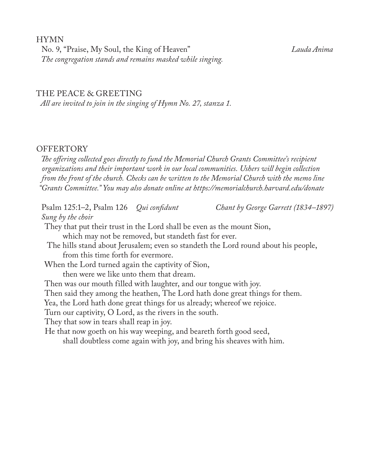HYMN

No. 9, "Praise, My Soul, the King of Heaven" *Lauda Anima The congregation stands and remains masked while singing.*

#### THE PEACE & GREETING

*All are invited to join in the singing of Hymn No. 27, stanza 1.*

#### **OFFERTORY**

*The offering collected goes directly to fund the Memorial Church Grants Committee's recipient organizations and their important work in our local communities. Ushers will begin collection from the front of the church. Checks can be written to the Memorial Church with the memo line "Grants Committee." You may also donate online at https://memorialchurch.harvard.edu/donate* 

Psalm 125:1–2, Psalm 126 *Qui confidunt Chant by George Garrett (1834–1897)*

*Sung by the choir*

They that put their trust in the Lord shall be even as the mount Sion, which may not be removed, but standeth fast for ever.

 The hills stand about Jerusalem; even so standeth the Lord round about his people, from this time forth for evermore.

When the Lord turned again the captivity of Sion,

then were we like unto them that dream.

Then was our mouth filled with laughter, and our tongue with joy.

Then said they among the heathen, The Lord hath done great things for them.

Yea, the Lord hath done great things for us already; whereof we rejoice.

Turn our captivity, O Lord, as the rivers in the south.

They that sow in tears shall reap in joy.

He that now goeth on his way weeping, and beareth forth good seed,

shall doubtless come again with joy, and bring his sheaves with him.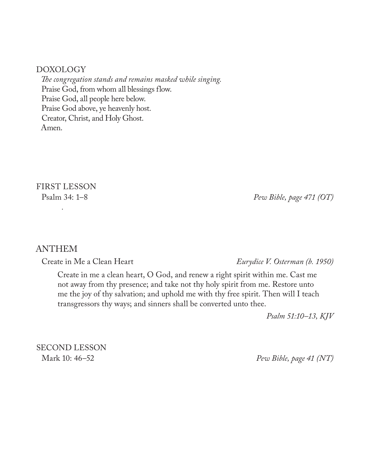DOXOLOGY

*The congregation stands and remains masked while singing.* Praise God, from whom all blessings flow. Praise God, all people here below. Praise God above, ye heavenly host. Creator, Christ, and Holy Ghost. Amen.

FIRST LESSON<br>Psalm 34: 1–8

*.*

*Pew Bible, page 471 (OT)* 

#### ANTHEM

Create in Me a Clean Heart *Eurydice V. Osterman (b. 1950)*

Create in me a clean heart, O God, and renew a right spirit within me. Cast me not away from thy presence; and take not thy holy spirit from me. Restore unto me the joy of thy salvation; and uphold me with thy free spirit. Then will I teach transgressors thy ways; and sinners shall be converted unto thee.

*Psalm 51:10–13, KJV*

SECOND LESSON Mark 10: 46–52 *Pew Bible, page 41 (NT)*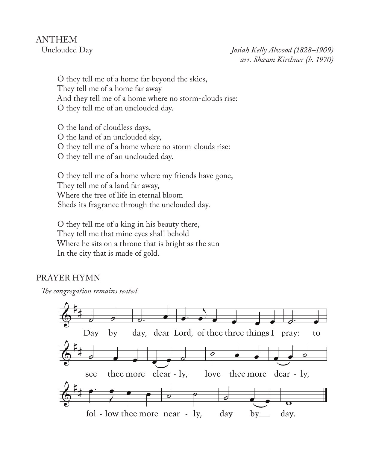# ANTHEM<br>Unclouded Day

Josiah Kelly Alwood (1828–1909) *arr. Shawn Kirchner (b. 1970)*

O they tell me of a home far beyond the skies, They tell me of a home far away And they tell me of a home where no storm-clouds rise: O they tell me of an unclouded day.

O the land of cloudless days, O the land of an unclouded sky, O they tell me of a home where no storm-clouds rise: O they tell me of an unclouded day.

O they tell me of a home where my friends have gone, They tell me of a land far away, Where the tree of life in eternal bloom Sheds its fragrance through the unclouded day.

O they tell me of a king in his beauty there, They tell me that mine eyes shall behold Where he sits on a throne that is bright as the sun In the city that is made of gold.

#### PRAYER HYMN

*The congregation remains seated.*

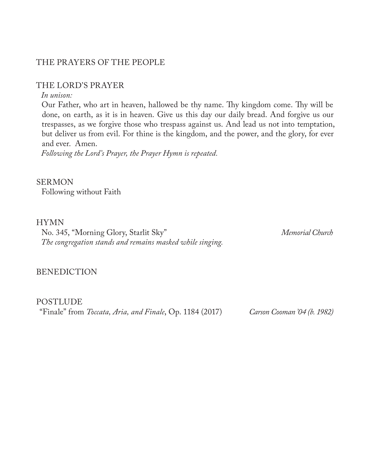#### THE PRAYERS OF THE PEOPLE

#### THE LORD'S PRAYER

#### *In unison:*

Our Father, who art in heaven, hallowed be thy name. Thy kingdom come. Thy will be done, on earth, as it is in heaven. Give us this day our daily bread. And forgive us our trespasses, as we forgive those who trespass against us. And lead us not into temptation, but deliver us from evil. For thine is the kingdom, and the power, and the glory, for ever and ever. Amen.

*Following the Lord's Prayer, the Prayer Hymn is repeated.*

#### **SERMON**

Following without Faith

#### HYMN

No. 345, "Morning Glory, Starlit Sky" *Memorial Church The congregation stands and remains masked while singing.*

#### **BENEDICTION**

#### POSTLUDE

"Finale" from *Toccata, Aria, and Finale*, Op. 1184 (2017) *Carson Cooman '04 (b. 1982)*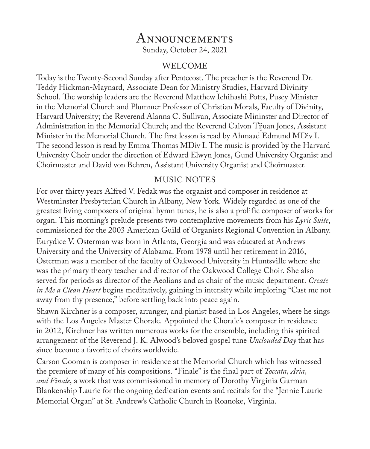# Announcements Sunday, October 24, 2021

### WELCOME

Today is the Twenty-Second Sunday after Pentecost. The preacher is the Reverend Dr. Teddy Hickman-Maynard, Associate Dean for Ministry Studies, Harvard Divinity School. The worship leaders are the Reverend Matthew Ichihashi Potts, Pusey Minister in the Memorial Church and Plummer Professor of Christian Morals, Faculty of Divinity, Harvard University; the Reverend Alanna C. Sullivan, Associate Mininster and Director of Administration in the Memorial Church; and the Reverend Calvon Tijuan Jones, Assistant Minister in the Memorial Church. The first lesson is read by Ahmaad Edmund MDiv I. The second lesson is read by Emma Thomas MDiv I. The music is provided by the Harvard University Choir under the direction of Edward Elwyn Jones, Gund University Organist and Choirmaster and David von Behren, Assistant University Organist and Choirmaster.

### MUSIC NOTES

For over thirty years Alfred V. Fedak was the organist and composer in residence at Westminster Presbyterian Church in Albany, New York. Widely regarded as one of the greatest living composers of original hymn tunes, he is also a prolific composer of works for organ. This morning's prelude presents two contemplative movements from his *Lyric Suite*, commissioned for the 2003 American Guild of Organists Regional Convention in Albany.

Eurydice V. Osterman was born in Atlanta, Georgia and was educated at Andrews University and the University of Alabama. From 1978 until her retirement in 2016, Osterman was a member of the faculty of Oakwood University in Huntsville where she was the primary theory teacher and director of the Oakwood College Choir. She also served for periods as director of the Aeolians and as chair of the music department. *Create in Me a Clean Heart* begins meditatively, gaining in intensity while imploring "Cast me not away from thy presence," before settling back into peace again.

Shawn Kirchner is a composer, arranger, and pianist based in Los Angeles, where he sings with the Los Angeles Master Chorale. Appointed the Chorale's composer in residence in 2012, Kirchner has written numerous works for the ensemble, including this spirited arrangement of the Reverend J. K. Alwood's beloved gospel tune *Unclouded Day* that has since become a favorite of choirs worldwide.

Carson Cooman is composer in residence at the Memorial Church which has witnessed the premiere of many of his compositions. "Finale" is the final part of *Toccata, Aria, and Finale*, a work that was commissioned in memory of Dorothy Virginia Garman Blankenship Laurie for the ongoing dedication events and recitals for the "Jennie Laurie Memorial Organ" at St. Andrew's Catholic Church in Roanoke, Virginia.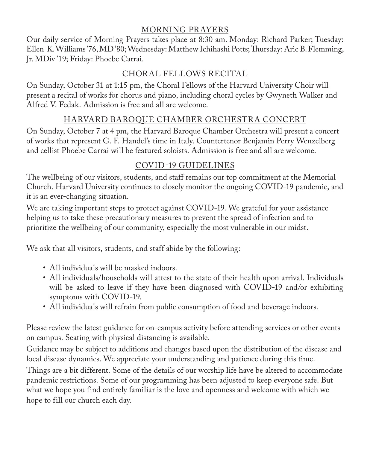# MORNING PRAYERS

Our daily service of Morning Prayers takes place at 8:30 am. Monday: Richard Parker; Tuesday: Ellen K. Williams '76, MD '80; Wednesday: Matthew Ichihashi Potts; Thursday: Aric B. Flemming, Jr. MDiv '19; Friday: Phoebe Carrai.

# CHORAL FELLOWS RECITAL

On Sunday, October 31 at 1:15 pm, the Choral Fellows of the Harvard University Choir will present a recital of works for chorus and piano, including choral cycles by Gwyneth Walker and Alfred V. Fedak. Admission is free and all are welcome.

# HARVARD BAROQUE CHAMBER ORCHESTRA CONCERT

On Sunday, October 7 at 4 pm, the Harvard Baroque Chamber Orchestra will present a concert of works that represent G. F. Handel's time in Italy. Countertenor Benjamin Perry Wenzelberg and cellist Phoebe Carrai will be featured soloists. Admission is free and all are welcome.

# COVID-19 GUIDELINES

The wellbeing of our visitors, students, and staff remains our top commitment at the Memorial Church. Harvard University continues to closely monitor the ongoing COVID-19 pandemic, and it is an ever-changing situation.

We are taking important steps to protect against COVID-19. We grateful for your assistance helping us to take these precautionary measures to prevent the spread of infection and to prioritize the wellbeing of our community, especially the most vulnerable in our midst.

We ask that all visitors, students, and staff abide by the following:

- All individuals will be masked indoors.
- All individuals/households will attest to the state of their health upon arrival. Individuals will be asked to leave if they have been diagnosed with COVID-19 and/or exhibiting symptoms with COVID-19.
- All individuals will refrain from public consumption of food and beverage indoors.

Please review the latest guidance for on-campus activity before attending services or other events on campus. Seating with physical distancing is available.

Guidance may be subject to additions and changes based upon the distribution of the disease and local disease dynamics. We appreciate your understanding and patience during this time.

Things are a bit different. Some of the details of our worship life have be altered to accommodate pandemic restrictions. Some of our programming has been adjusted to keep everyone safe. But what we hope you find entirely familiar is the love and openness and welcome with which we hope to fill our church each day.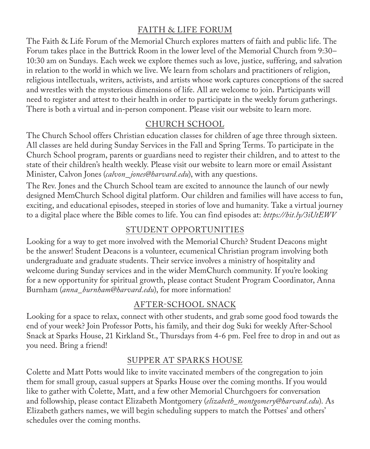# FAITH & LIFE FORUM

The Faith & Life Forum of the Memorial Church explores matters of faith and public life. The Forum takes place in the Buttrick Room in the lower level of the Memorial Church from 9:30– 10:30 am on Sundays. Each week we explore themes such as love, justice, suffering, and salvation in relation to the world in which we live. We learn from scholars and practitioners of religion, religious intellectuals, writers, activists, and artists whose work captures conceptions of the sacred and wrestles with the mysterious dimensions of life. All are welcome to join. Participants will need to register and attest to their health in order to participate in the weekly forum gatherings. There is both a virtual and in-person component. Please visit our website to learn more.

# CHURCH SCHOOL

The Church School offers Christian education classes for children of age three through sixteen. All classes are held during Sunday Services in the Fall and Spring Terms. To participate in the Church School program, parents or guardians need to register their children, and to attest to the state of their children's health weekly. Please visit our website to learn more or email Assistant Minister, Calvon Jones (*calvon\_ jones@harvard.edu*), with any questions.

The Rev. Jones and the Church School team are excited to announce the launch of our newly designed MemChurch School digital platform. Our children and families will have access to fun, exciting, and educational episodes, steeped in stories of love and humanity. Take a virtual journey to a digital place where the Bible comes to life. You can find episodes at: *https://bit.ly/3iUtEWV*

# STUDENT OPPORTUNITIES

Looking for a way to get more involved with the Memorial Church? Student Deacons might be the answer! Student Deacons is a volunteer, ecumenical Christian program involving both undergraduate and graduate students. Their service involves a ministry of hospitality and welcome during Sunday services and in the wider MemChurch community. If you're looking for a new opportunity for spiritual growth, please contact Student Program Coordinator, Anna Burnham (*anna\_burnham@harvard.edu*), for more information!

# AFTER-SCHOOL SNACK

Looking for a space to relax, connect with other students, and grab some good food towards the end of your week? Join Professor Potts, his family, and their dog Suki for weekly After-School Snack at Sparks House, 21 Kirkland St., Thursdays from 4-6 pm. Feel free to drop in and out as you need. Bring a friend!

# SUPPER AT SPARKS HOUSE

Colette and Matt Potts would like to invite vaccinated members of the congregation to join them for small group, casual suppers at Sparks House over the coming months. If you would like to gather with Colette, Matt, and a few other Memorial Churchgoers for conversation and followship, please contact Elizabeth Montgomery (*elizabeth\_montgomery@harvard.edu*). As Elizabeth gathers names, we will begin scheduling suppers to match the Pottses' and others' schedules over the coming months.